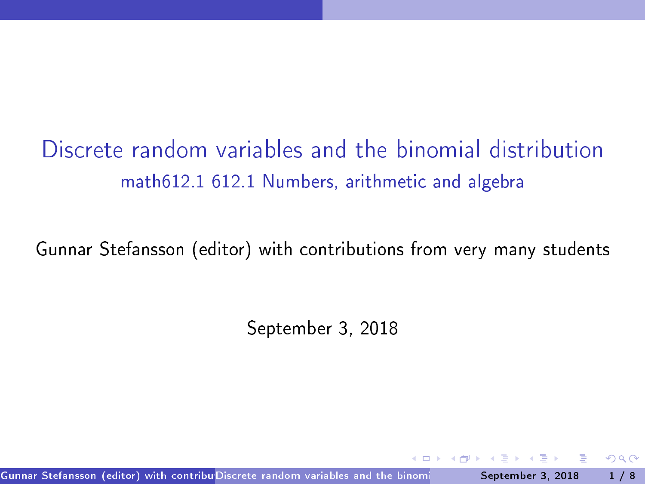Discrete random variables and the binomial distribution math612.1 612.1 Numbers, arithmetic and algebra

Gunnar Stefansson (editor) with contributions from very many students

<span id="page-0-0"></span>September 3, 2018

Gunnar Stefansson (editor) with contribu<sup>r</sup> Discrete random variables and the binomi**ch and September 3, 2018 1** / 8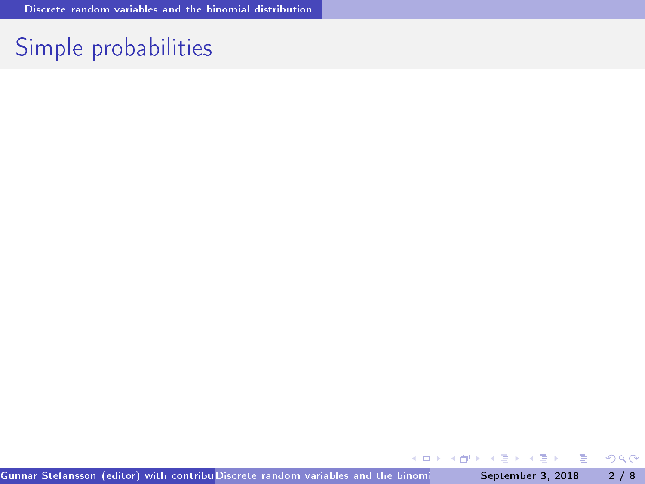## Simple probabilities

イロメ イ部メ イヨメ イヨメ

重

<span id="page-1-0"></span> $298$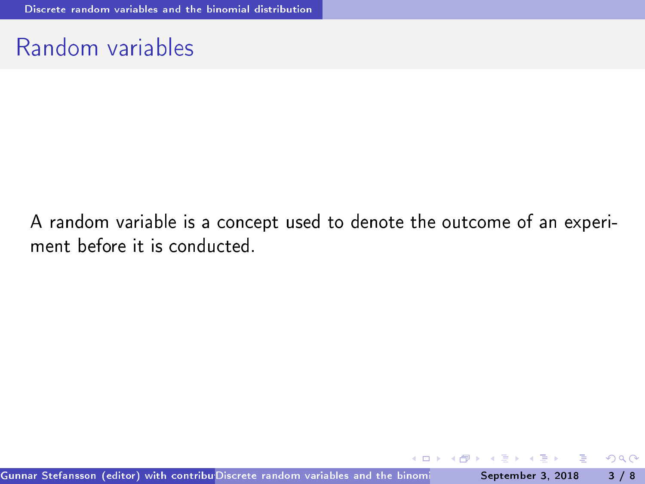#### Random variables

A random variable is a concept used to denote the outcome of an experiment before it is conducted.

<span id="page-2-0"></span>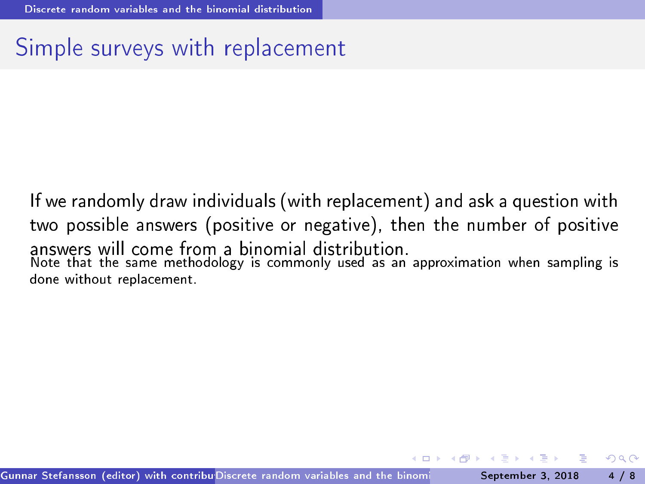#### Simple surveys with replacement

<span id="page-3-0"></span>If we randomly draw individuals (with repla
ement) and ask a question with two possible answers (positive or negative), then the number of positive Note that the same methodology is commonly used as an approximation when sampling is done without replacement.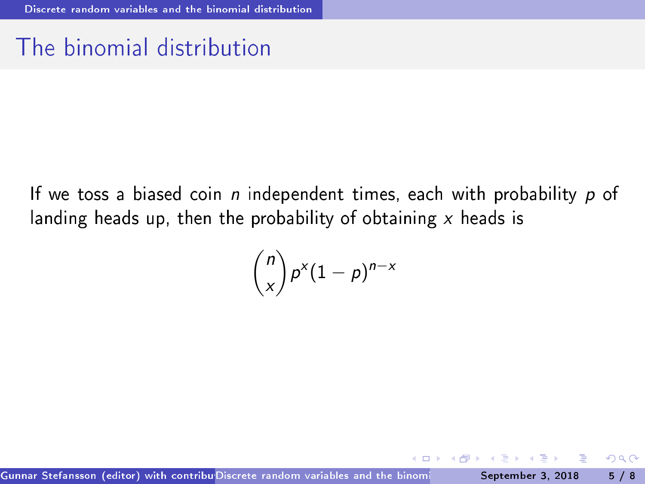## The binomial distribution

If we toss a biased coin  $n$  independent times, each with probability  $p$  of landing heads up, then the probability of obtaining  $x$  heads is

<span id="page-4-0"></span>
$$
\binom{n}{x} p^x (1-p)^{n-x}
$$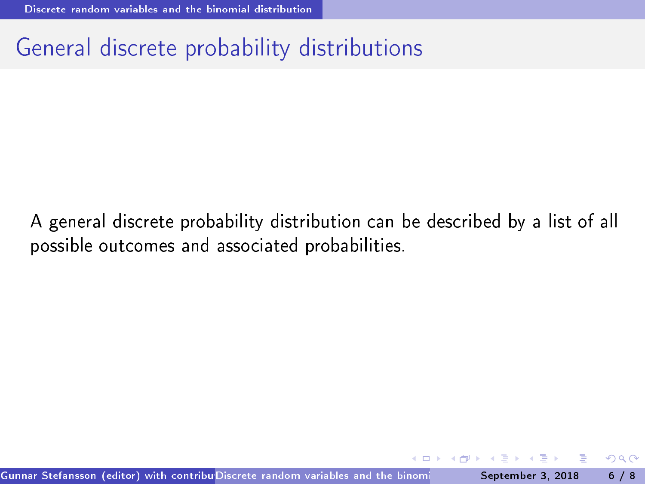# General dis
rete probability distributions

<span id="page-5-0"></span>A general discrete probability distribution can be described by a list of all possible out
omes and asso
iated probabilities.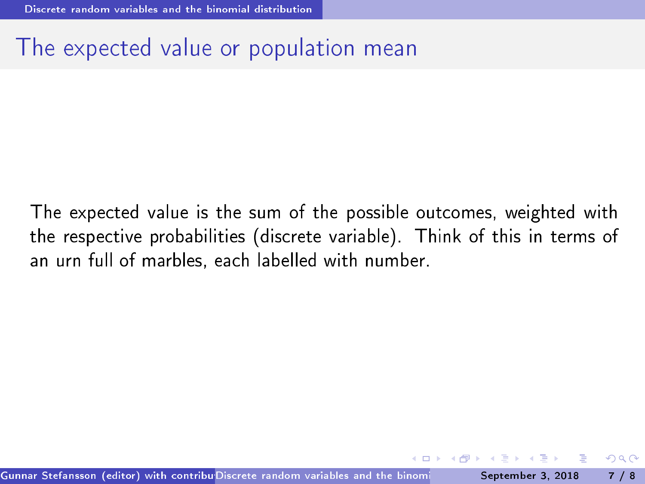### The expected value or population mean

<span id="page-6-0"></span>The expected value is the sum of the possible outcomes, weighted with the respective probabilities (discrete variable). Think of this in terms of an urn full of marbles, each labelled with number. an urn full of marbles, each international control of marbles, each international control of marbles, each international control of marbles, each international control of marbles, each international control of marbles, eac